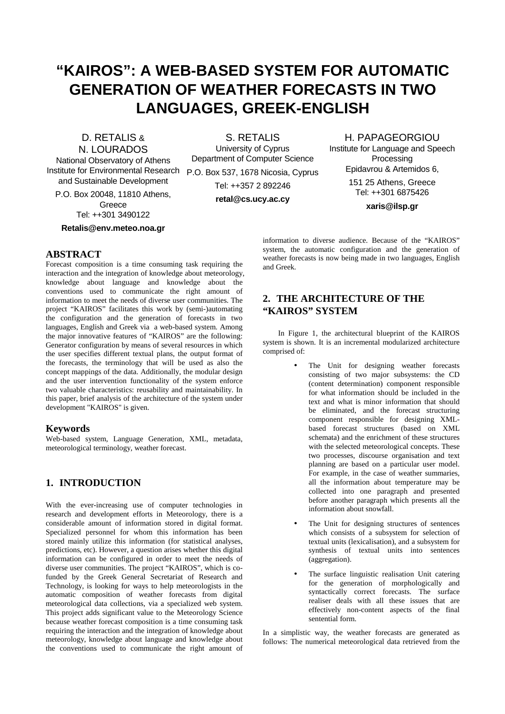# **"KAIROS": A WEB-BASED SYSTEM FOR AUTOMATIC GENERATION OF WEATHER FORECASTS IN TWO LANGUAGES, GREEK-ENGLISH**

D. RETALIS & N. LOURADOS

National Observatory of Athens Institute for Environmental Research P.O. Box 537, 1678 Nicosia, Cyprus and Sustainable Development

P.O. Box 20048, 11810 Athens, **Greece** 

Tel: ++301 3490122

**Retalis@env.meteo.noa.gr**

S. RETALIS University of Cyprus Department of Computer Science

> Tel: ++357 2 892246 **retal@cs.ucy.ac.cy**

Institute for Language and Speech Processing Epidavrou & Artemidos 6,

151 25 Athens, Greece Tel: ++301 6875426

H. PAPAGEORGIOU

**xaris@ilsp.gr**

## **ABSTRACT**

Forecast composition is a time consuming task requiring the interaction and the integration of knowledge about meteorology, knowledge about language and knowledge about the conventions used to communicate the right amount of information to meet the needs of diverse user communities. The project "KAIROS" facilitates this work by (semi-)automating the configuration and the generation of forecasts in two languages, English and Greek via a web-based system. Among the major innovative features of "KAIROS" are the following: Generator configuration by means of several resources in which the user specifies different textual plans, the output format of the forecasts, the terminology that will be used as also the concept mappings of the data. Additionally, the modular design and the user intervention functionality of the system enforce two valuable characteristics: reusability and maintainability. In this paper, brief analysis of the architecture of the system under development "KAIROS" is given.

#### **Keywords**

Web-based system, Language Generation, XML, metadata, meteorological terminology, weather forecast.

## **1. INTRODUCTION**

With the ever-increasing use of computer technologies in research and development efforts in Meteorology, there is a considerable amount of information stored in digital format. Specialized personnel for whom this information has been stored mainly utilize this information (for statistical analyses, predictions, etc). However, a question arises whether this digital information can be configured in order to meet the needs of diverse user communities. The project "KAIROS", which is cofunded by the Greek General Secretariat of Research and Technology, is looking for ways to help meteorologists in the automatic composition of weather forecasts from digital meteorological data collections, via a specialized web system. This project adds significant value to the Meteorology Science because weather forecast composition is a time consuming task requiring the interaction and the integration of knowledge about meteorology, knowledge about language and knowledge about the conventions used to communicate the right amount of

information to diverse audience. Because of the "KAIROS" system, the automatic configuration and the generation of weather forecasts is now being made in two languages, English and Greek.

## **2. THE ARCHITECTURE OF THE "KAIROS" SYSTEM**

In Figure 1, the architectural blueprint of the KAIROS system is shown. It is an incremental modularized architecture comprised of:

- The Unit for designing weather forecasts consisting of two major subsystems: the CD (content determination) component responsible for what information should be included in the text and what is minor information that should be eliminated, and the forecast structuring component responsible for designing XMLbased forecast structures (based on XML schemata) and the enrichment of these structures with the selected meteorological concepts. These two processes, discourse organisation and text planning are based on a particular user model. For example, in the case of weather summaries, all the information about temperature may be collected into one paragraph and presented before another paragraph which presents all the information about snowfall.
- The Unit for designing structures of sentences which consists of a subsystem for selection of textual units (lexicalisation), and a subsystem for synthesis of textual units into sentences (aggregation).
- The surface linguistic realisation Unit catering for the generation of morphologically and syntactically correct forecasts. The surface realiser deals with all these issues that are effectively non-content aspects of the final sentential form.

In a simplistic way, the weather forecasts are generated as follows: The numerical meteorological data retrieved from the